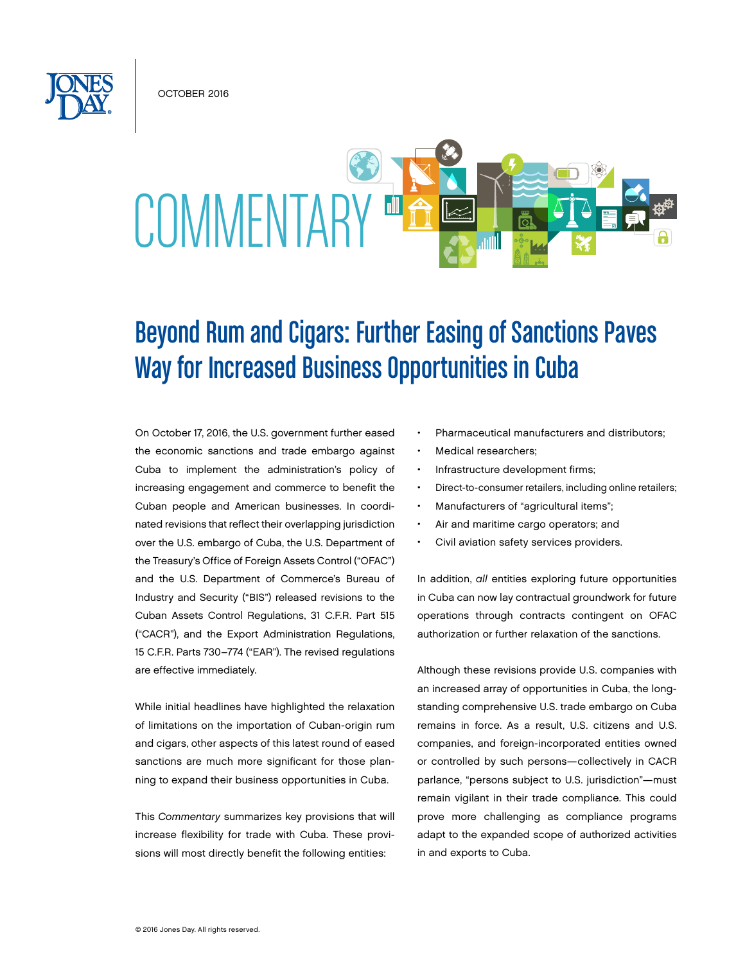October 2016



# Beyond Rum and Cigars: Further Easing of Sanctions Paves Way for Increased Business Opportunities in Cuba

On October 17, 2016, the U.S. government further eased the economic sanctions and trade embargo against Cuba to implement the administration's policy of increasing engagement and commerce to benefit the Cuban people and American businesses. In coordinated revisions that reflect their overlapping jurisdiction over the U.S. embargo of Cuba, the U.S. Department of the Treasury's Office of Foreign Assets Control ("OFAC") and the U.S. Department of Commerce's Bureau of Industry and Security ("BIS") released revisions to the Cuban Assets Control Regulations, 31 C.F.R. Part 515 ("CACR"), and the Export Administration Regulations, 15 C.F.R. Parts 730–774 ("EAR"). The revised regulations are effective immediately.

While initial headlines have highlighted the relaxation of limitations on the importation of Cuban-origin rum and cigars, other aspects of this latest round of eased sanctions are much more significant for those planning to expand their business opportunities in Cuba.

This *Commentary* summarizes key provisions that will increase flexibility for trade with Cuba. These provisions will most directly benefit the following entities:

- Pharmaceutical manufacturers and distributors;
- Medical researchers:
- Infrastructure development firms;
- Direct-to-consumer retailers, including online retailers;
- Manufacturers of "agricultural items";
- Air and maritime cargo operators; and
- Civil aviation safety services providers.

In addition, *all* entities exploring future opportunities in Cuba can now lay contractual groundwork for future operations through contracts contingent on OFAC authorization or further relaxation of the sanctions.

Although these revisions provide U.S. companies with an increased array of opportunities in Cuba, the longstanding comprehensive U.S. trade embargo on Cuba remains in force. As a result, U.S. citizens and U.S. companies, and foreign-incorporated entities owned or controlled by such persons—collectively in CACR parlance, "persons subject to U.S. jurisdiction"—must remain vigilant in their trade compliance. This could prove more challenging as compliance programs adapt to the expanded scope of authorized activities in and exports to Cuba.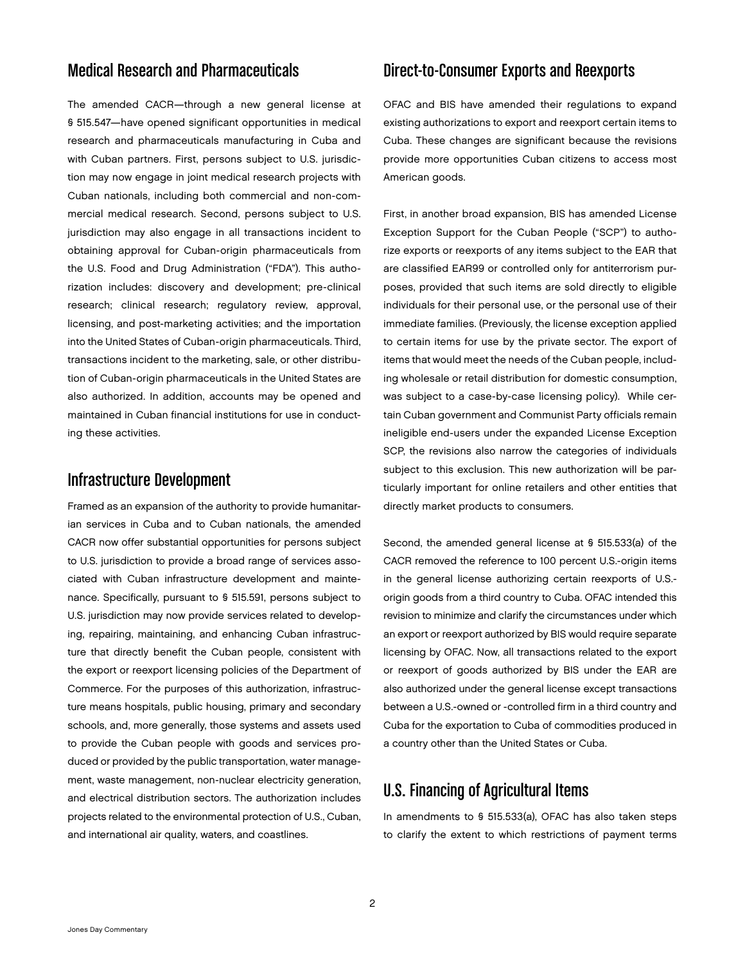# Medical Research and Pharmaceuticals

The amended CACR—through a new general license at § 515.547—have opened significant opportunities in medical research and pharmaceuticals manufacturing in Cuba and with Cuban partners. First, persons subject to U.S. jurisdiction may now engage in joint medical research projects with Cuban nationals, including both commercial and non-commercial medical research. Second, persons subject to U.S. jurisdiction may also engage in all transactions incident to obtaining approval for Cuban-origin pharmaceuticals from the U.S. Food and Drug Administration ("FDA"). This authorization includes: discovery and development; pre-clinical research; clinical research; regulatory review, approval, licensing, and post-marketing activities; and the importation into the United States of Cuban-origin pharmaceuticals. Third, transactions incident to the marketing, sale, or other distribution of Cuban-origin pharmaceuticals in the United States are also authorized. In addition, accounts may be opened and maintained in Cuban financial institutions for use in conducting these activities.

#### Infrastructure Development

Framed as an expansion of the authority to provide humanitarian services in Cuba and to Cuban nationals, the amended CACR now offer substantial opportunities for persons subject to U.S. jurisdiction to provide a broad range of services associated with Cuban infrastructure development and maintenance. Specifically, pursuant to § 515.591, persons subject to U.S. jurisdiction may now provide services related to developing, repairing, maintaining, and enhancing Cuban infrastructure that directly benefit the Cuban people, consistent with the export or reexport licensing policies of the Department of Commerce. For the purposes of this authorization, infrastructure means hospitals, public housing, primary and secondary schools, and, more generally, those systems and assets used to provide the Cuban people with goods and services produced or provided by the public transportation, water management, waste management, non-nuclear electricity generation, and electrical distribution sectors. The authorization includes projects related to the environmental protection of U.S., Cuban, and international air quality, waters, and coastlines.

#### Direct-to-Consumer Exports and Reexports

OFAC and BIS have amended their regulations to expand existing authorizations to export and reexport certain items to Cuba. These changes are significant because the revisions provide more opportunities Cuban citizens to access most American goods.

First, in another broad expansion, BIS has amended License Exception Support for the Cuban People ("SCP") to authorize exports or reexports of any items subject to the EAR that are classified EAR99 or controlled only for antiterrorism purposes, provided that such items are sold directly to eligible individuals for their personal use, or the personal use of their immediate families. (Previously, the license exception applied to certain items for use by the private sector. The export of items that would meet the needs of the Cuban people, including wholesale or retail distribution for domestic consumption, was subject to a case-by-case licensing policy). While certain Cuban government and Communist Party officials remain ineligible end-users under the expanded License Exception SCP, the revisions also narrow the categories of individuals subject to this exclusion. This new authorization will be particularly important for online retailers and other entities that directly market products to consumers.

Second, the amended general license at § 515.533(a) of the CACR removed the reference to 100 percent U.S.-origin items in the general license authorizing certain reexports of U.S. origin goods from a third country to Cuba. OFAC intended this revision to minimize and clarify the circumstances under which an export or reexport authorized by BIS would require separate licensing by OFAC. Now, all transactions related to the export or reexport of goods authorized by BIS under the EAR are also authorized under the general license except transactions between a U.S.-owned or -controlled firm in a third country and Cuba for the exportation to Cuba of commodities produced in a country other than the United States or Cuba.

## U.S. Financing of Agricultural Items

In amendments to § 515.533(a), OFAC has also taken steps to clarify the extent to which restrictions of payment terms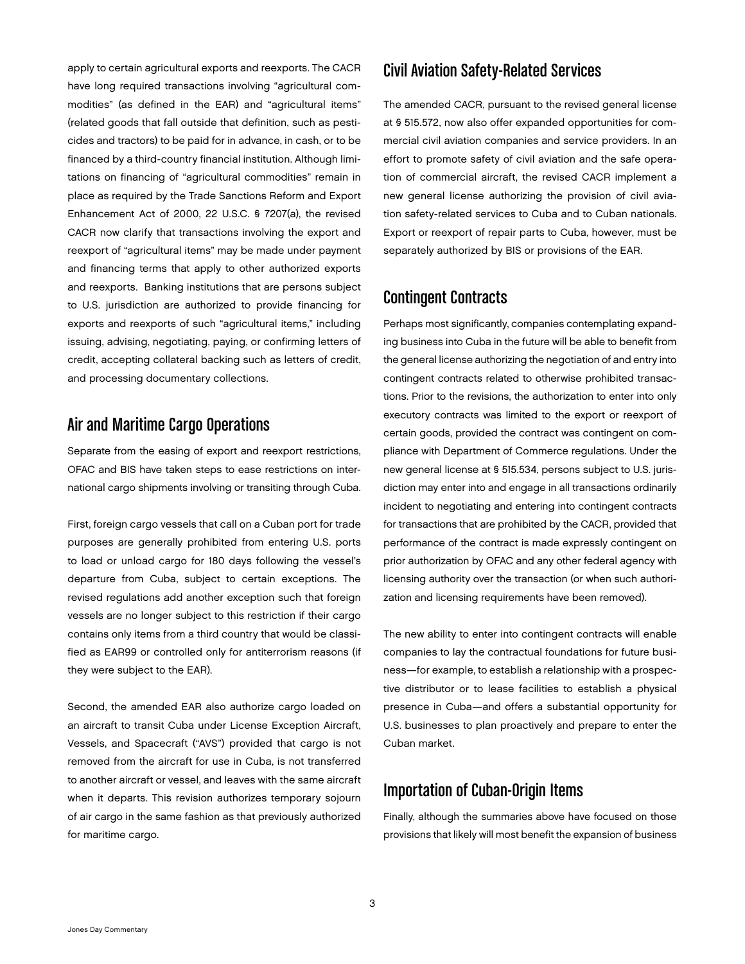apply to certain agricultural exports and reexports. The CACR have long required transactions involving "agricultural commodities" (as defined in the EAR) and "agricultural items" (related goods that fall outside that definition, such as pesticides and tractors) to be paid for in advance, in cash, or to be financed by a third-country financial institution. Although limitations on financing of "agricultural commodities" remain in place as required by the Trade Sanctions Reform and Export Enhancement Act of 2000, 22 U.S.C. § 7207(a), the revised CACR now clarify that transactions involving the export and reexport of "agricultural items" may be made under payment and financing terms that apply to other authorized exports and reexports. Banking institutions that are persons subject to U.S. jurisdiction are authorized to provide financing for exports and reexports of such "agricultural items," including issuing, advising, negotiating, paying, or confirming letters of credit, accepting collateral backing such as letters of credit, and processing documentary collections.

# Air and Maritime Cargo Operations

Separate from the easing of export and reexport restrictions, OFAC and BIS have taken steps to ease restrictions on international cargo shipments involving or transiting through Cuba.

First, foreign cargo vessels that call on a Cuban port for trade purposes are generally prohibited from entering U.S. ports to load or unload cargo for 180 days following the vessel's departure from Cuba, subject to certain exceptions. The revised regulations add another exception such that foreign vessels are no longer subject to this restriction if their cargo contains only items from a third country that would be classified as EAR99 or controlled only for antiterrorism reasons (if they were subject to the EAR).

Second, the amended EAR also authorize cargo loaded on an aircraft to transit Cuba under License Exception Aircraft, Vessels, and Spacecraft ("AVS") provided that cargo is not removed from the aircraft for use in Cuba, is not transferred to another aircraft or vessel, and leaves with the same aircraft when it departs. This revision authorizes temporary sojourn of air cargo in the same fashion as that previously authorized for maritime cargo.

#### Civil Aviation Safety-Related Services

The amended CACR, pursuant to the revised general license at § 515.572, now also offer expanded opportunities for commercial civil aviation companies and service providers. In an effort to promote safety of civil aviation and the safe operation of commercial aircraft, the revised CACR implement a new general license authorizing the provision of civil aviation safety-related services to Cuba and to Cuban nationals. Export or reexport of repair parts to Cuba, however, must be separately authorized by BIS or provisions of the EAR.

### Contingent Contracts

Perhaps most significantly, companies contemplating expanding business into Cuba in the future will be able to benefit from the general license authorizing the negotiation of and entry into contingent contracts related to otherwise prohibited transactions. Prior to the revisions, the authorization to enter into only executory contracts was limited to the export or reexport of certain goods, provided the contract was contingent on compliance with Department of Commerce regulations. Under the new general license at § 515.534, persons subject to U.S. jurisdiction may enter into and engage in all transactions ordinarily incident to negotiating and entering into contingent contracts for transactions that are prohibited by the CACR, provided that performance of the contract is made expressly contingent on prior authorization by OFAC and any other federal agency with licensing authority over the transaction (or when such authorization and licensing requirements have been removed).

The new ability to enter into contingent contracts will enable companies to lay the contractual foundations for future business—for example, to establish a relationship with a prospective distributor or to lease facilities to establish a physical presence in Cuba—and offers a substantial opportunity for U.S. businesses to plan proactively and prepare to enter the Cuban market.

## Importation of Cuban-Origin Items

Finally, although the summaries above have focused on those provisions that likely will most benefit the expansion of business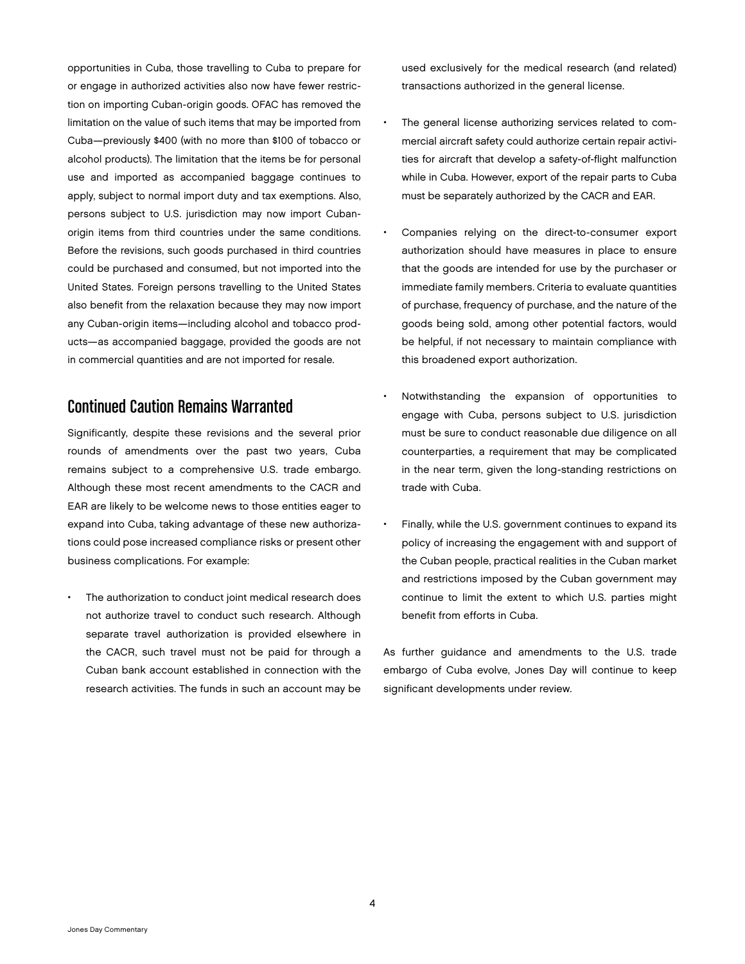opportunities in Cuba, those travelling to Cuba to prepare for or engage in authorized activities also now have fewer restriction on importing Cuban-origin goods. OFAC has removed the limitation on the value of such items that may be imported from Cuba—previously \$400 (with no more than \$100 of tobacco or alcohol products). The limitation that the items be for personal use and imported as accompanied baggage continues to apply, subject to normal import duty and tax exemptions. Also, persons subject to U.S. jurisdiction may now import Cubanorigin items from third countries under the same conditions. Before the revisions, such goods purchased in third countries could be purchased and consumed, but not imported into the United States. Foreign persons travelling to the United States also benefit from the relaxation because they may now import any Cuban-origin items—including alcohol and tobacco products—as accompanied baggage, provided the goods are not in commercial quantities and are not imported for resale.

#### Continued Caution Remains Warranted

Significantly, despite these revisions and the several prior rounds of amendments over the past two years, Cuba remains subject to a comprehensive U.S. trade embargo. Although these most recent amendments to the CACR and EAR are likely to be welcome news to those entities eager to expand into Cuba, taking advantage of these new authorizations could pose increased compliance risks or present other business complications. For example:

The authorization to conduct joint medical research does not authorize travel to conduct such research. Although separate travel authorization is provided elsewhere in the CACR, such travel must not be paid for through a Cuban bank account established in connection with the research activities. The funds in such an account may be used exclusively for the medical research (and related) transactions authorized in the general license.

- The general license authorizing services related to commercial aircraft safety could authorize certain repair activities for aircraft that develop a safety-of-flight malfunction while in Cuba. However, export of the repair parts to Cuba must be separately authorized by the CACR and EAR.
- Companies relying on the direct-to-consumer export authorization should have measures in place to ensure that the goods are intended for use by the purchaser or immediate family members. Criteria to evaluate quantities of purchase, frequency of purchase, and the nature of the goods being sold, among other potential factors, would be helpful, if not necessary to maintain compliance with this broadened export authorization.
- Notwithstanding the expansion of opportunities to engage with Cuba, persons subject to U.S. jurisdiction must be sure to conduct reasonable due diligence on all counterparties, a requirement that may be complicated in the near term, given the long-standing restrictions on trade with Cuba.
- Finally, while the U.S. government continues to expand its policy of increasing the engagement with and support of the Cuban people, practical realities in the Cuban market and restrictions imposed by the Cuban government may continue to limit the extent to which U.S. parties might benefit from efforts in Cuba.

As further guidance and amendments to the U.S. trade embargo of Cuba evolve, Jones Day will continue to keep significant developments under review.